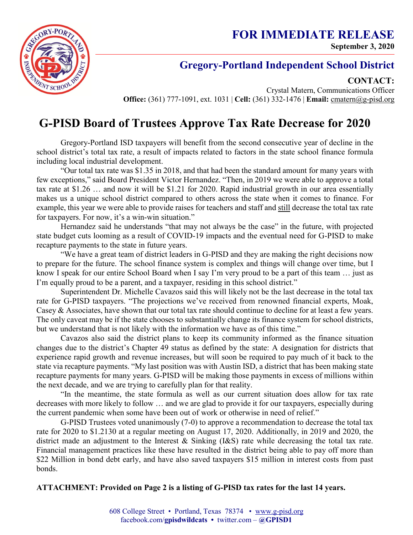**FOR IMMEDIATE RELEASE September 3, 2020**



## **Gregory-Portland Independent School District**

**CONTACT:**

Crystal Matern, Communications Officer **Office:** (361) 777-1091, ext. 1031 | **Cell:** (361) 332-1476 | **Email:** cmatern@g-pisd.org

# **G-PISD Board of Trustees Approve Tax Rate Decrease for 2020**

Gregory-Portland ISD taxpayers will benefit from the second consecutive year of decline in the school district's total tax rate, a result of impacts related to factors in the state school finance formula including local industrial development.

"Our total tax rate was \$1.35 in 2018, and that had been the standard amount for many years with few exceptions," said Board President Victor Hernandez. "Then, in 2019 we were able to approve a total tax rate at \$1.26 … and now it will be \$1.21 for 2020. Rapid industrial growth in our area essentially makes us a unique school district compared to others across the state when it comes to finance. For example, this year we were able to provide raises for teachers and staff and still decrease the total tax rate for taxpayers. For now, it's a win-win situation."

Hernandez said he understands "that may not always be the case" in the future, with projected state budget cuts looming as a result of COVID-19 impacts and the eventual need for G-PISD to make recapture payments to the state in future years.

"We have a great team of district leaders in G-PISD and they are making the right decisions now to prepare for the future. The school finance system is complex and things will change over time, but I know I speak for our entire School Board when I say I'm very proud to be a part of this team … just as I'm equally proud to be a parent, and a taxpayer, residing in this school district."

Superintendent Dr. Michelle Cavazos said this will likely not be the last decrease in the total tax rate for G-PISD taxpayers. "The projections we've received from renowned financial experts, Moak, Casey & Associates, have shown that our total tax rate should continue to decline for at least a few years. The only caveat may be if the state chooses to substantially change its finance system for school districts, but we understand that is not likely with the information we have as of this time."

Cavazos also said the district plans to keep its community informed as the finance situation changes due to the district's Chapter 49 status as defined by the state: A designation for districts that experience rapid growth and revenue increases, but will soon be required to pay much of it back to the state via recapture payments. "My last position was with Austin ISD, a district that has been making state recapture payments for many years. G-PISD will be making those payments in excess of millions within the next decade, and we are trying to carefully plan for that reality.

"In the meantime, the state formula as well as our current situation does allow for tax rate decreases with more likely to follow … and we are glad to provide it for our taxpayers, especially during the current pandemic when some have been out of work or otherwise in need of relief."

G-PISD Trustees voted unanimously (7-0) to approve a recommendation to decrease the total tax rate for 2020 to \$1.2130 at a regular meeting on August 17, 2020. Additionally, in 2019 and 2020, the district made an adjustment to the Interest & Sinking (I&S) rate while decreasing the total tax rate. Financial management practices like these have resulted in the district being able to pay off more than \$22 Million in bond debt early, and have also saved taxpayers \$15 million in interest costs from past bonds.

#### **ATTACHMENT: Provided on Page 2 is a listing of G-PISD tax rates for the last 14 years.**